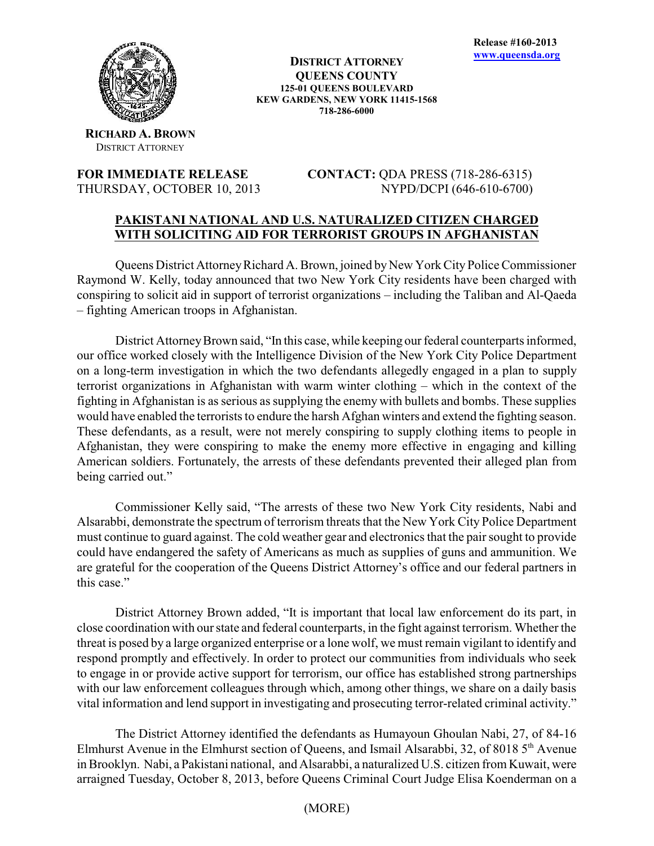

**DISTRICT ATTORNEY QUEENS COUNTY 125-01 QUEENS BOULEVARD KEW GARDENS, NEW YORK 11415-1568 718-286-6000**

**RICHARD A. BROWN** DISTRICT ATTORNEY

**FOR IMMEDIATE RELEASE CONTACT:** QDA PRESS (718-286-6315) THURSDAY, OCTOBER 10, 2013 NYPD/DCPI (646-610-6700)

## **PAKISTANI NATIONAL AND U.S. NATURALIZED CITIZEN CHARGED WITH SOLICITING AID FOR TERRORIST GROUPS IN AFGHANISTAN**

Queens District Attorney Richard A. Brown, joined by New York City Police Commissioner Raymond W. Kelly, today announced that two New York City residents have been charged with conspiring to solicit aid in support of terrorist organizations – including the Taliban and Al-Qaeda – fighting American troops in Afghanistan.

District Attorney Brown said, "In this case, while keeping our federal counterparts informed, our office worked closely with the Intelligence Division of the New York City Police Department on a long-term investigation in which the two defendants allegedly engaged in a plan to supply terrorist organizations in Afghanistan with warm winter clothing – which in the context of the fighting in Afghanistan is as serious as supplying the enemy with bullets and bombs. These supplies would have enabled the terrorists to endure the harsh Afghan winters and extend the fighting season. These defendants, as a result, were not merely conspiring to supply clothing items to people in Afghanistan, they were conspiring to make the enemy more effective in engaging and killing American soldiers. Fortunately, the arrests of these defendants prevented their alleged plan from being carried out."

Commissioner Kelly said, "The arrests of these two New York City residents, Nabi and Alsarabbi, demonstrate the spectrum of terrorism threats that the New York City Police Department must continue to guard against. The cold weather gear and electronics that the pair sought to provide could have endangered the safety of Americans as much as supplies of guns and ammunition. We are grateful for the cooperation of the Queens District Attorney's office and our federal partners in this case."

District Attorney Brown added, "It is important that local law enforcement do its part, in close coordination with our state and federal counterparts, in the fight against terrorism. Whether the threat is posed by a large organized enterprise or a lone wolf, we must remain vigilant to identify and respond promptly and effectively. In order to protect our communities from individuals who seek to engage in or provide active support for terrorism, our office has established strong partnerships with our law enforcement colleagues through which, among other things, we share on a daily basis vital information and lend support in investigating and prosecuting terror-related criminal activity."

The District Attorney identified the defendants as Humayoun Ghoulan Nabi, 27, of 84-16 Elmhurst Avenue in the Elmhurst section of Queens, and Ismail Alsarabbi, 32, of 8018  $5<sup>th</sup>$  Avenue in Brooklyn. Nabi, a Pakistani national, and Alsarabbi, a naturalized U.S. citizen from Kuwait, were arraigned Tuesday, October 8, 2013, before Queens Criminal Court Judge Elisa Koenderman on a